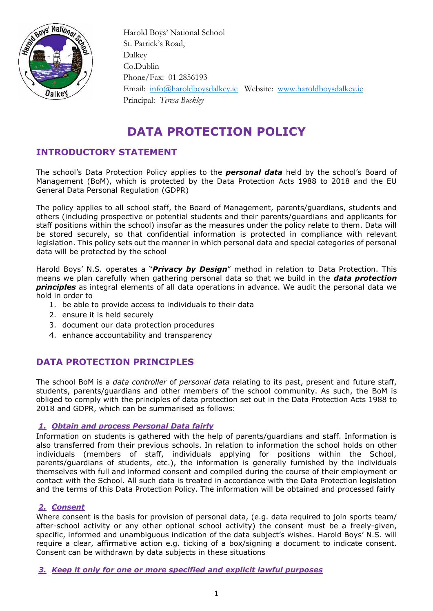

 Harold Boys' National School St. Patrick's Road, Dalkey Co.Dublin Phone/Fax: 01 2856193 Email: [info@haroldboysdalkey.ie](mailto:info@haroldboysdalkey.ie) Website: [www.haroldboysdalkey.ie](http://www.haroldboysdalkey.ie/) Principal: *Teresa Buckley*

# **DATA PROTECTION POLICY**

# **INTRODUCTORY STATEMENT**

The school's Data Protection Policy applies to the *personal data* held by the school's Board of Management (BoM), which is protected by the Data Protection Acts 1988 to 2018 and the EU General Data Personal Regulation (GDPR)

The policy applies to all school staff, the Board of Management, parents/guardians, students and others (including prospective or potential students and their parents/guardians and applicants for staff positions within the school) insofar as the measures under the policy relate to them. Data will be stored securely, so that confidential information is protected in compliance with relevant legislation. This policy sets out the manner in which personal data and special categories of personal data will be protected by the school

Harold Boys' N.S. operates a "*Privacy by Design*" method in relation to Data Protection. This means we plan carefully when gathering personal data so that we build in the *data protection principles* as integral elements of all data operations in advance. We audit the personal data we hold in order to

- 1. be able to provide access to individuals to their data
- 2. ensure it is held securely
- 3. document our data protection procedures
- 4. enhance accountability and transparency

# **DATA PROTECTION PRINCIPLES**

The school BoM is a *data controller* of *personal data* relating to its past, present and future staff, students, parents/guardians and other members of the school community. As such, the BoM is obliged to comply with the principles of data protection set out in the Data Protection Acts 1988 to 2018 and GDPR, which can be summarised as follows:

### *1. Obtain and process Personal Data fairly*

Information on students is gathered with the help of parents/guardians and staff. Information is also transferred from their previous schools. In relation to information the school holds on other individuals (members of staff, individuals applying for positions within the School, parents/guardians of students, etc.), the information is generally furnished by the individuals themselves with full and informed consent and compiled during the course of their employment or contact with the School. All such data is treated in accordance with the Data Protection legislation and the terms of this Data Protection Policy. The information will be obtained and processed fairly

# *2. Consent*

Where consent is the basis for provision of personal data, (e.g. data required to join sports team/ after-school activity or any other optional school activity) the consent must be a freely-given, specific, informed and unambiguous indication of the data subject's wishes. Harold Boys' N.S. will require a clear, affirmative action e.g. ticking of a box/signing a document to indicate consent. Consent can be withdrawn by data subjects in these situations

*3. Keep it only for one or more specified and explicit lawful purposes*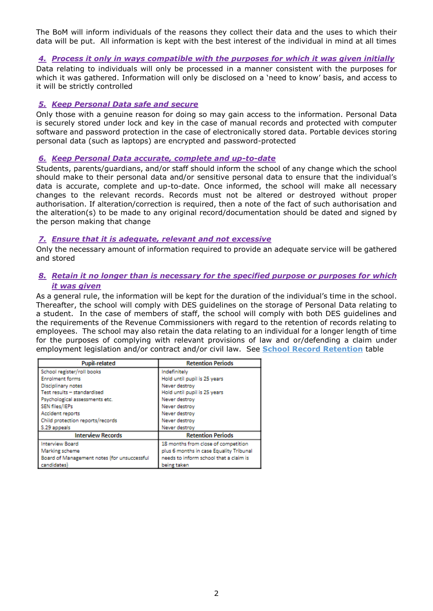The BoM will inform individuals of the reasons they collect their data and the uses to which their data will be put. All information is kept with the best interest of the individual in mind at all times

### *4. Process it only in ways compatible with the purposes for which it was given initially*

Data relating to individuals will only be processed in a manner consistent with the purposes for which it was gathered. Information will only be disclosed on a 'need to know' basis, and access to it will be strictly controlled

### *5. Keep Personal Data safe and secure*

Only those with a genuine reason for doing so may gain access to the information. Personal Data is securely stored under lock and key in the case of manual records and protected with computer software and password protection in the case of electronically stored data. Portable devices storing personal data (such as laptops) are encrypted and password-protected

### *6. Keep Personal Data accurate, complete and up-to-date*

Students, parents/guardians, and/or staff should inform the school of any change which the school should make to their personal data and/or sensitive personal data to ensure that the individual's data is accurate, complete and up-to-date. Once informed, the school will make all necessary changes to the relevant records. Records must not be altered or destroyed without proper authorisation. If alteration/correction is required, then a note of the fact of such authorisation and the alteration(s) to be made to any original record/documentation should be dated and signed by the person making that change

### *7. Ensure that it is adequate, relevant and not excessive*

Only the necessary amount of information required to provide an adequate service will be gathered and stored

### *8. Retain it no longer than is necessary for the specified purpose or purposes for which it was given*

As a general rule, the information will be kept for the duration of the individual's time in the school. Thereafter, the school will comply with DES guidelines on the storage of Personal Data relating to a student. In the case of members of staff, the school will comply with both DES guidelines and the requirements of the Revenue Commissioners with regard to the retention of records relating to employees. The school may also retain the data relating to an individual for a longer length of time for the purposes of complying with relevant provisions of law and or/defending a claim under employment legislation and/or contract and/or civil law. See **School Record Retention** table

| <b>Pupil-related</b>                        | <b>Retention Periods</b>                |
|---------------------------------------------|-----------------------------------------|
| School register/roll books                  | Indefinitely                            |
| <b>Enrolment forms</b>                      | Hold until pupil is 25 years            |
| Disciplinary notes                          | Never destroy                           |
| Test results - standardised                 | Hold until pupil is 25 years            |
| Psychological assessments etc.              | Never destroy                           |
| SEN files/IEPs                              | Never destroy                           |
| Accident reports                            | Never destroy                           |
| Child protection reports/records            | Never destroy                           |
| S.29 appeals                                | Never destroy                           |
| <b>Interview Records</b>                    | <b>Retention Periods</b>                |
| <b>Interview Board</b>                      | 18 months from close of competition     |
| Marking scheme                              | plus 6 months in case Equality Tribunal |
| Board of Management notes (for unsuccessful | needs to inform school that a claim is  |
| candidates)                                 | being taken                             |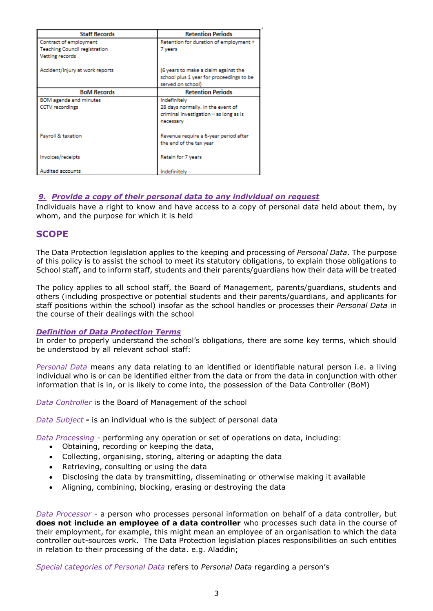| <b>Staff Records</b>                                           | <b>Retention Periods</b>                                                                                 |
|----------------------------------------------------------------|----------------------------------------------------------------------------------------------------------|
| Contract of employment<br><b>Teaching Council registration</b> | Retention for duration of employment +<br>7 years                                                        |
| <b>Vetting records</b>                                         |                                                                                                          |
| Accident/Injury at work reports                                | (6 years to make a claim against the<br>school plus 1 year for proceedings to be<br>served on school)    |
| <b>BoM Records</b>                                             | <b>Retention Periods</b>                                                                                 |
| BOM agenda and minutes<br><b>CCTV</b> recordings               | Indefinitely<br>28 days normally. In the event of<br>criminal investigation - as long as is<br>necessary |
| Payroll & taxation                                             | Revenue require a 6-year period after<br>the end of the tax year                                         |
| Invoices/receipts                                              | Retain for 7 years                                                                                       |
| <b>Audited accounts</b>                                        | Indefinitely                                                                                             |

### *9. Provide a copy of their personal data to any individual on request*

Individuals have a right to know and have access to a copy of personal data held about them, by whom, and the purpose for which it is held

### **SCOPE**

The Data Protection legislation applies to the keeping and processing of *Personal Data*. The purpose of this policy is to assist the school to meet its statutory obligations, to explain those obligations to School staff, and to inform staff, students and their parents/guardians how their data will be treated

The policy applies to all school staff, the Board of Management, parents/guardians, students and others (including prospective or potential students and their parents/guardians, and applicants for staff positions within the school) insofar as the school handles or processes their *Personal Data* in the course of their dealings with the school

### *Definition of Data Protection Terms*

In order to properly understand the school's obligations, there are some key terms, which should be understood by all relevant school staff:

*Personal Data* means any data relating to an identified or identifiable natural person i.e. a living individual who is or can be identified either from the data or from the data in conjunction with other information that is in, or is likely to come into, the possession of the Data Controller (BoM)

*Data Controller* is the Board of Management of the school

*Data Subject -* is an individual who is the subject of personal data

*Data Processing* - performing any operation or set of operations on data, including:

- Obtaining, recording or keeping the data,
- Collecting, organising, storing, altering or adapting the data
- Retrieving, consulting or using the data
- Disclosing the data by transmitting, disseminating or otherwise making it available
- Aligning, combining, blocking, erasing or destroying the data

*Data Processor* - a person who processes personal information on behalf of a data controller, but **does not include an employee of a data controller** who processes such data in the course of their employment, for example, this might mean an employee of an organisation to which the data controller out-sources work. The Data Protection legislation places responsibilities on such entities in relation to their processing of the data. e.g. Aladdin;

*Special categories of Personal Data* refers to *Personal Data* regarding a person's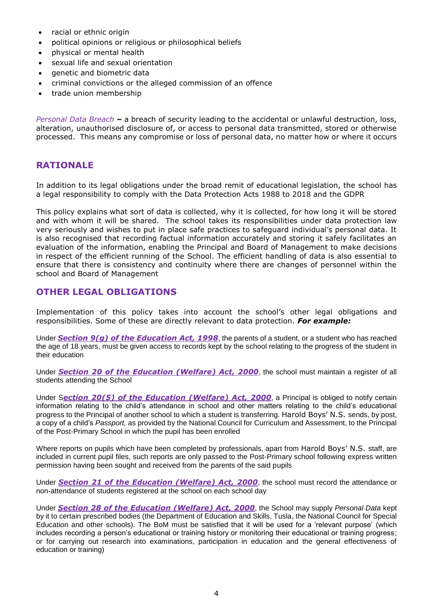- racial or ethnic origin
- political opinions or religious or philosophical beliefs
- physical or mental health
- sexual life and sexual orientation
- genetic and biometric data
- criminal convictions or the alleged commission of an offence
- trade union membership

*Personal Data Breach –* a breach of security leading to the accidental or unlawful destruction, loss, alteration, unauthorised disclosure of, or access to personal data transmitted, stored or otherwise processed. This means any compromise or loss of personal data, no matter how or where it occurs

# **RATIONALE**

In addition to its legal obligations under the broad remit of educational legislation, the school has a legal responsibility to comply with the Data Protection Acts 1988 to 2018 and the GDPR

This policy explains what sort of data is collected, why it is collected, for how long it will be stored and with whom it will be shared. The school takes its responsibilities under data protection law very seriously and wishes to put in place safe practices to safeguard individual's personal data. It is also recognised that recording factual information accurately and storing it safely facilitates an evaluation of the information, enabling the Principal and Board of Management to make decisions in respect of the efficient running of the School. The efficient handling of data is also essential to ensure that there is consistency and continuity where there are changes of personnel within the school and Board of Management

# **OTHER LEGAL OBLIGATIONS**

Implementation of this policy takes into account the school's other legal obligations and responsibilities. Some of these are directly relevant to data protection. *For example:*

Under *Section 9(g) of the [Education Act, 1998](http://acts2.oireachtas.ie/zza51y1998.1.html)*, the parents of a student, or a student who has reached the age of 18 years, must be given access to records kept by the school relating to the progress of the student in their education

Under *Section 20 of the [Education \(Welfare\) Act, 2000](http://www.oireachtas.ie/documents/bills28/acts/2000/a2200.pdf)*, the school must maintain a register of all students attending the School

Under S*ection 20(5) of the Education (Welfare) Act, 2000*, a Principal is obliged to notify certain information relating to the child's attendance in school and other matters relating to the child's educational progress to the Principal of another school to which a student is transferring. Harold Boys' N.S. sends, by post, a copy of a child's *Passport,* as provided by the National Council for Curriculum and Assessment, to the Principal of the Post-Primary School in which the pupil has been enrolled

Where reports on pupils which have been completed by professionals, apart from Harold Boys' N.S. staff, are included in current pupil files, such reports are only passed to the Post-Primary school following express written permission having been sought and received from the parents of the said pupils

Under *Section 21 of the [Education \(Welfare\) Act, 2000](http://www.oireachtas.ie/documents/bills28/acts/2000/a2200.pdf)*, the school must record the attendance or non-attendance of students registered at the school on each school day

Under *Section 28 of the [Education \(Welfare\) Act, 2000](http://www.oireachtas.ie/documents/bills28/acts/2000/a2200.pdf)*, the School may supply *Personal Data* kept by it to certain prescribed bodies (the Department of Education and Skills, Tusla, the National Council for Special Education and other schools). The BoM must be satisfied that it will be used for a 'relevant purpose' (which includes recording a person's educational or training history or monitoring their educational or training progress; or for carrying out research into examinations, participation in education and the general effectiveness of education or training)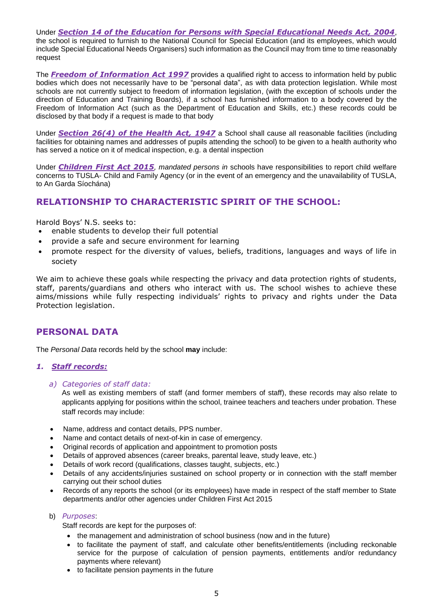Under *Section 14 of the Education for Persons with Special Educational Needs Act, 2004*, the school is required to furnish to the National Council for Special Education (and its employees, which would include Special Educational Needs Organisers) such information as the Council may from time to time reasonably request

The *Freedom of Information Act 1997* provides a qualified right to access to information held by public bodies which does not necessarily have to be "personal data", as with data protection legislation. While most schools are not currently subject to freedom of information legislation, (with the exception of schools under the direction of Education and Training Boards), if a school has furnished information to a body covered by the Freedom of Information Act (such as the Department of Education and Skills, etc.) these records could be disclosed by that body if a request is made to that body

Under *Section 26(4) of the Health Act, 1947* a School shall cause all reasonable facilities (including facilities for obtaining names and addresses of pupils attending the school) to be given to a health authority who has served a notice on it of medical inspection, e.g. a dental inspection

Under *Children First Act 2015, mandated persons in* schools have responsibilities to report child welfare concerns to TUSLA- Child and Family Agency (or in the event of an emergency and the unavailability of TUSLA, to An Garda Síochána)

# **RELATIONSHIP TO CHARACTERISTIC SPIRIT OF THE SCHOOL:**

Harold Boys' N.S. seeks to:

- enable students to develop their full potential
- provide a safe and secure environment for learning
- promote respect for the diversity of values, beliefs, traditions, languages and ways of life in society

We aim to achieve these goals while respecting the privacy and data protection rights of students, staff, parents/guardians and others who interact with us. The school wishes to achieve these aims/missions while fully respecting individuals' rights to privacy and rights under the Data Protection legislation.

# **PERSONAL DATA**

The *Personal Data* records held by the school **may** include:

### *1. Staff records:*

*a) Categories of staff data:*

As well as existing members of staff (and former members of staff), these records may also relate to applicants applying for positions within the school, trainee teachers and teachers under probation. These staff records may include:

- Name, address and contact details, PPS number.
- Name and contact details of next-of-kin in case of emergency.
- Original records of application and appointment to promotion posts
- Details of approved absences (career breaks, parental leave, study leave, etc.)
- Details of work record (qualifications, classes taught, subjects, etc.)
- Details of any accidents/injuries sustained on school property or in connection with the staff member carrying out their school duties
- Records of any reports the school (or its employees) have made in respect of the staff member to State departments and/or other agencies under Children First Act 2015
- b) *Purposes*:

Staff records are kept for the purposes of:

- the management and administration of school business (now and in the future)
- to facilitate the payment of staff, and calculate other benefits/entitlements (including reckonable service for the purpose of calculation of pension payments, entitlements and/or redundancy payments where relevant)
- to facilitate pension payments in the future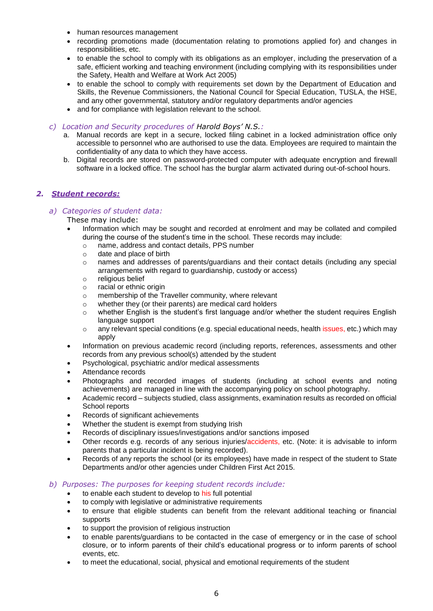- human resources management
- recording promotions made (documentation relating to promotions applied for) and changes in responsibilities, etc.
- to enable the school to comply with its obligations as an employer, including the preservation of a safe, efficient working and teaching environment (including complying with its responsibilities under the Safety, Health and Welfare at Work Act 2005)
- to enable the school to comply with requirements set down by the Department of Education and Skills, the Revenue Commissioners, the National Council for Special Education, TUSLA, the HSE, and any other governmental, statutory and/or regulatory departments and/or agencies
- and for compliance with legislation relevant to the school.

*c) Location and Security procedures of Harold Boys' N.S.:* 

- a. Manual records are kept in a secure, locked filing cabinet in a locked administration office only accessible to personnel who are authorised to use the data. Employees are required to maintain the confidentiality of any data to which they have access.
- b. Digital records are stored on password-protected computer with adequate encryption and firewall software in a locked office. The school has the burglar alarm activated during out-of-school hours.

### *2. Student records:*

### *a) Categories of student data:*

These may include:

- Information which may be sought and recorded at enrolment and may be collated and compiled during the course of the student's time in the school. These records may include:
	- o name, address and contact details, PPS number
	- o date and place of birth
	- o names and addresses of parents/guardians and their contact details (including any special arrangements with regard to guardianship, custody or access)
	- o religious belief
	- o racial or ethnic origin
	- o membership of the Traveller community, where relevant
	- o whether they (or their parents) are medical card holders
	- o whether English is the student's first language and/or whether the student requires English language support
	- o any relevant special conditions (e.g. special educational needs, health issues, etc.) which may apply
- Information on previous academic record (including reports, references, assessments and other records from any previous school(s) attended by the student
- Psychological, psychiatric and/or medical assessments
- Attendance records
- Photographs and recorded images of students (including at school events and noting achievements) are managed in line with the accompanying policy on school photography.
- Academic record subjects studied, class assignments, examination results as recorded on official School reports
- Records of significant achievements
- Whether the student is exempt from studying Irish
- Records of disciplinary issues/investigations and/or sanctions imposed
- Other records e.g. records of any serious injuries/accidents, etc. (Note: it is advisable to inform parents that a particular incident is being recorded).
- Records of any reports the school (or its employees) have made in respect of the student to State Departments and/or other agencies under Children First Act 2015.

### *b) Purposes: The purposes for keeping student records include:*

- to enable each student to develop to his full potential
- to comply with legislative or administrative requirements
- to ensure that eligible students can benefit from the relevant additional teaching or financial supports
- to support the provision of religious instruction
- to enable parents/guardians to be contacted in the case of emergency or in the case of school closure, or to inform parents of their child's educational progress or to inform parents of school events, etc.
- to meet the educational, social, physical and emotional requirements of the student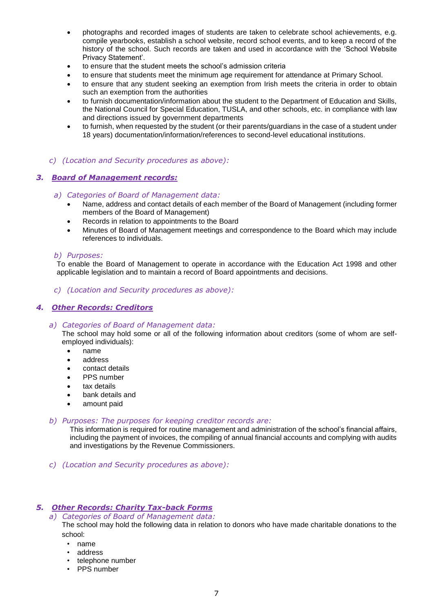- photographs and recorded images of students are taken to celebrate school achievements, e.g. compile yearbooks, establish a school website, record school events, and to keep a record of the history of the school. Such records are taken and used in accordance with the 'School Website Privacy Statement'.
- to ensure that the student meets the school's admission criteria
- to ensure that students meet the minimum age requirement for attendance at Primary School.
- to ensure that any student seeking an exemption from Irish meets the criteria in order to obtain such an exemption from the authorities
- to furnish documentation/information about the student to the Department of Education and Skills, the National Council for Special Education, TUSLA, and other schools, etc. in compliance with law and directions issued by government departments
- to furnish, when requested by the student (or their parents/guardians in the case of a student under 18 years) documentation/information/references to second-level educational institutions.

### *c) (Location and Security procedures as above):*

### *3. Board of Management records:*

#### *a) Categories of Board of Management data:*

- Name, address and contact details of each member of the Board of Management (including former members of the Board of Management)
- Records in relation to appointments to the Board
- Minutes of Board of Management meetings and correspondence to the Board which may include references to individuals.

#### *b) Purposes:*

To enable the Board of Management to operate in accordance with the Education Act 1998 and other applicable legislation and to maintain a record of Board appointments and decisions.

*c) (Location and Security procedures as above):* 

### *4. Other Records: Creditors*

### *a) Categories of Board of Management data:*

The school may hold some or all of the following information about creditors (some of whom are selfemployed individuals):

- name
- address
- contact details
- PPS number
- tax details
- bank details and
- amount paid

#### *b) Purposes: The purposes for keeping creditor records are:*

This information is required for routine management and administration of the school's financial affairs, including the payment of invoices, the compiling of annual financial accounts and complying with audits and investigations by the Revenue Commissioners.

*c) (Location and Security procedures as above):* 

### *5. Other Records: Charity Tax-back Forms*

*a) Categories of Board of Management data:*

The school may hold the following data in relation to donors who have made charitable donations to the school:

- name
- address
- telephone number
- PPS number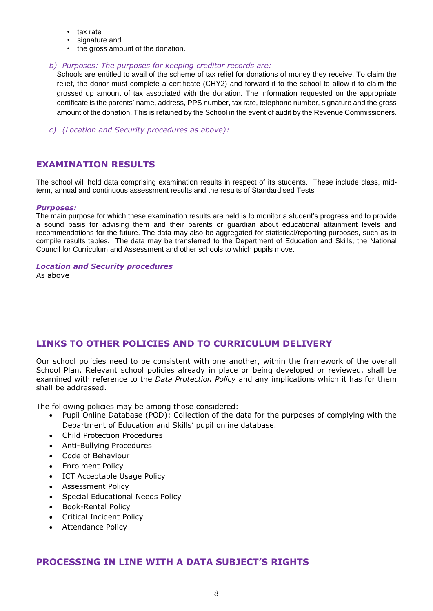- tax rate
- signature and
- the gross amount of the donation.

### *b) Purposes: The purposes for keeping creditor records are:*

Schools are entitled to avail of the scheme of tax relief for donations of money they receive. To claim the relief, the donor must complete a certificate (CHY2) and forward it to the school to allow it to claim the grossed up amount of tax associated with the donation. The information requested on the appropriate certificate is the parents' name, address, PPS number, tax rate, telephone number, signature and the gross amount of the donation. This is retained by the School in the event of audit by the Revenue Commissioners.

*c) (Location and Security procedures as above):* 

# **EXAMINATION RESULTS**

The school will hold data comprising examination results in respect of its students. These include class, midterm, annual and continuous assessment results and the results of Standardised Tests

### *Purposes:*

The main purpose for which these examination results are held is to monitor a student's progress and to provide a sound basis for advising them and their parents or guardian about educational attainment levels and recommendations for the future. The data may also be aggregated for statistical/reporting purposes, such as to compile results tables. The data may be transferred to the Department of Education and Skills, the National Council for Curriculum and Assessment and other schools to which pupils move.

### *Location and Security procedures*

As above

# **LINKS TO OTHER POLICIES AND TO CURRICULUM DELIVERY**

Our school policies need to be consistent with one another, within the framework of the overall School Plan. Relevant school policies already in place or being developed or reviewed, shall be examined with reference to the *Data Protection Policy* and any implications which it has for them shall be addressed.

The following policies may be among those considered:

- Pupil Online Database (POD): Collection of the data for the purposes of complying with the Department of Education and Skills' pupil online database.
- Child Protection Procedures
- Anti-Bullying Procedures
- Code of Behaviour
- Enrolment Policy
- ICT Acceptable Usage Policy
- Assessment Policy
- Special Educational Needs Policy
- Book-Rental Policy
- Critical Incident Policy
- Attendance Policy

# **PROCESSING IN LINE WITH A DATA SUBJECT'S RIGHTS**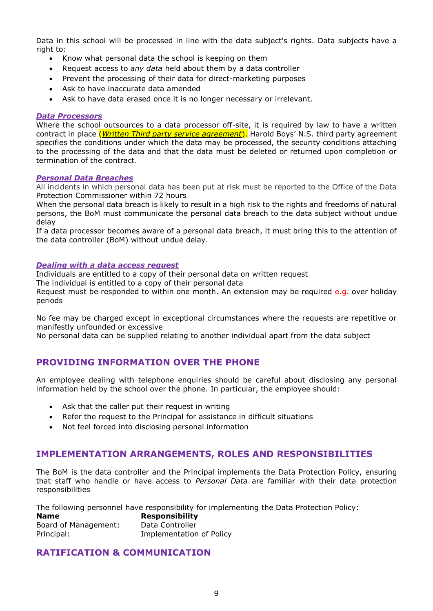Data in this school will be processed in line with the data subject's rights. Data subjects have a right to:

- Know what personal data the school is keeping on them
- Request access to *any data* held about them by a data controller
- Prevent the processing of their data for direct-marketing purposes
- Ask to have inaccurate data amended
- Ask to have data erased once it is no longer necessary or irrelevant.

### *Data Processors*

Where the school outsources to a data processor off-site, it is required by law to have a written contract in place (*Written Third party service agreement*). Harold Boys' N.S. third party agreement specifies the conditions under which the data may be processed, the security conditions attaching to the processing of the data and that the data must be deleted or returned upon completion or termination of the contract.

### *Personal Data Breaches*

All incidents in which personal data has been put at risk must be reported to the Office of the Data Protection Commissioner within 72 hours

When the personal data breach is likely to result in a high risk to the rights and freedoms of natural persons, the BoM must communicate the personal data breach to the data subject without undue delay

If a data processor becomes aware of a personal data breach, it must bring this to the attention of the data controller (BoM) without undue delay.

### *Dealing with a data access request*

Individuals are entitled to a copy of their personal data on written request

The individual is entitled to a copy of their personal data

Request must be responded to within one month. An extension may be required e.g. over holiday periods

No fee may be charged except in exceptional circumstances where the requests are repetitive or manifestly unfounded or excessive

No personal data can be supplied relating to another individual apart from the data subject

# **PROVIDING INFORMATION OVER THE PHONE**

An employee dealing with telephone enquiries should be careful about disclosing any personal information held by the school over the phone. In particular, the employee should:

- Ask that the caller put their request in writing
- Refer the request to the Principal for assistance in difficult situations
- Not feel forced into disclosing personal information

# **IMPLEMENTATION ARRANGEMENTS, ROLES AND RESPONSIBILITIES**

The BoM is the data controller and the Principal implements the Data Protection Policy, ensuring that staff who handle or have access to *Personal Data* are familiar with their data protection responsibilities

The following personnel have responsibility for implementing the Data Protection Policy:

| <b>Name</b>          | <b>Responsibility</b>    |  |
|----------------------|--------------------------|--|
| Board of Management: | Data Controller          |  |
| Principal:           | Implementation of Policy |  |

# **RATIFICATION & COMMUNICATION**